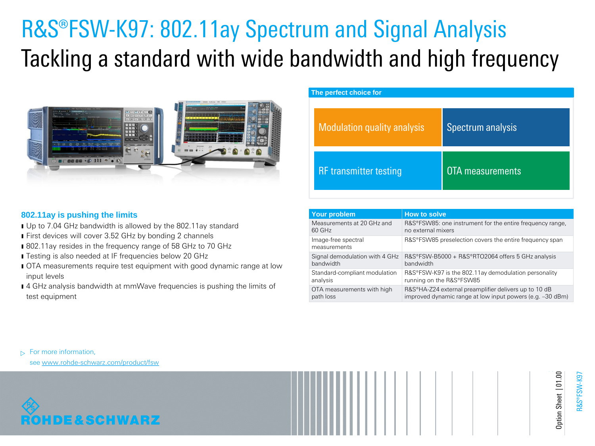# R&S®FSW-K97: 802.11ay Spectrum and Signal Analysis Tackling a standard with wide bandwidth and high frequency



| The perfect choice for             |                         |  |  |  |  |  |  |
|------------------------------------|-------------------------|--|--|--|--|--|--|
| <b>Modulation quality analysis</b> | Spectrum analysis       |  |  |  |  |  |  |
| <b>RF</b> transmitter testing      | <b>OTA</b> measurements |  |  |  |  |  |  |

## **802.11ay is pushing the limits**

- **I** Up to 7.04 GHz bandwidth is allowed by the 802.11ay standard
- **First devices will cover 3.52 GHz by bonding 2 channels**
- 802.11ay resides in the frequency range of 58 GHz to 70 GHz
- **I** Testing is also needed at IF frequencies below 20 GHz
- **I** OTA measurements require test equipment with good dynamic range at low input levels
- **I** 4 GHz analysis bandwidth at mmWave frequencies is pushing the limits of test equipment

| Your problem                        | <b>How to solve</b>                                                |
|-------------------------------------|--------------------------------------------------------------------|
| Measurements at 20 GHz and          | R&S®FSW85: one instrument for the entire frequency range,          |
| 60 GHz                              | no external mixers                                                 |
| Image-free spectral<br>measurements | R&S®FSW85 preselection covers the entire frequency span            |
| Signal demodulation with 4 GHz      | R&S®FSW-B5000 + R&S®RTO2064 offers 5 GHz analysis                  |
| bandwidth                           | bandwidth                                                          |
| Standard-compliant modulation       | R&S®FSW-K97 is the 802.11ay demodulation personality               |
| analysis                            | running on the R&S®FSW85                                           |
| OTA measurements with high          | R&S <sup>®</sup> HA-Z24 external preamplifier delivers up to 10 dB |
| path loss                           | improved dynamic range at low input powers (e.g. -30 dBm)          |

 $\triangleright$  For more information,

see [www.rohde-schwarz.com/product/fsw](http://www.rohde-schwarz.com/product/fsw)



R&S®FSW-K97

Option Sheet | 01.00

Option Sheet | 01.00